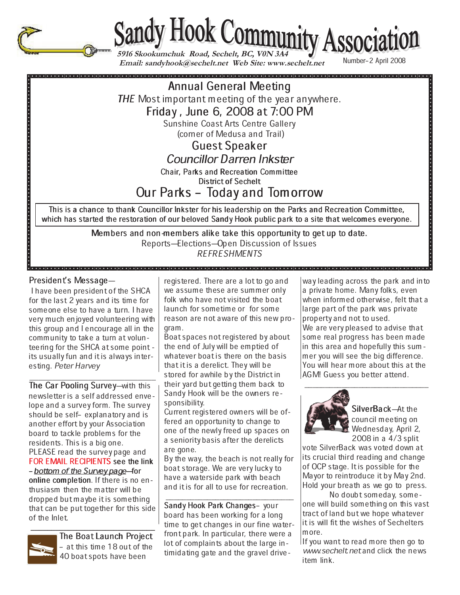

**5916 Skookumchuk Road, Sechelt, BC, V0N 3A4**<br> **Email: sandyhook@sechelt.net Web Site: www.sechelt.net** Number-2 April 2008

# Annual General Meeting

THE Most important meeting of the year anywhere.

Friday, June 6, 2008 at 7:00 PM

Sunshine Coast Arts Centre Gallery (corner of Medusa and Trail)

Guest Speaker

# Councillor Darren Inkster

Chair, Parks and Recreation Committee

District of Sechelt

# Our Parks – Today and Tomorrow

This is a chance to thank Councillor Inkster for his leadership on the Parks and Recreation Committee, which has started the restoration of our beloved Sandy Hook public park to a site that welcomes everyone.

> Members and non-members alike take this opportunity to get up to date. Reports-Elections-Open Discussion of Issues REFRESHMENTS

# President's Message-

 I have been president of the SHCA for the last 2 years and its time for someone else to have a turn. I have very much enjoyed volunteering with this group and I encourage all in the community to take a turn at volunteering for the SHCA at some point its usually fun and it is always interesting. Peter Harvey

The Car Pooling Survey-with this newsletter is a self addressed envelope and a survey form. The survey should be self- explanatory and is another effort by your Association board to tackle problems for the residents. This is a big one. PLEASE read the survey page and FOR EMAIL RECIPIENTS see the link - bottom of the Survey page-for online completion. If there is no enthusiasm then the matter will be dropped but maybe it is something that can be put together for this side of the Inlet.



 $\overline{z}$  ,  $\overline{z}$  ,  $\overline{z}$  ,  $\overline{z}$  ,  $\overline{z}$  ,  $\overline{z}$  ,  $\overline{z}$  ,  $\overline{z}$  ,  $\overline{z}$  ,  $\overline{z}$  ,  $\overline{z}$  ,  $\overline{z}$  ,  $\overline{z}$  ,  $\overline{z}$  ,  $\overline{z}$  ,  $\overline{z}$  ,  $\overline{z}$  ,  $\overline{z}$  ,  $\overline{z}$  ,  $\overline{z}$  , The Boat Launch Project - at this time 18 out of the 40 boat spots have been

registered. There are a lot to go and we assume these are summer only folk who have not visited the boat launch for sometime or for some reason are not aware of this new program.

Boat spaces not registered by about the end of July will be emptied of whatever boat is there on the basis that it is a derelict. They will be stored for awhile by the District in their yard but getting them back to Sandy Hook will be the owners responsibility.

Current registered owners will be offered an opportunity to change to one of the newly freed up spaces on a seniority basis after the derelicts are gone.

By the way, the beach is not really for boat storage. We are very lucky to have a waterside park with beach and it is for all to use for recreation.

\_\_\_\_\_\_\_\_\_\_\_\_\_\_\_\_\_\_\_\_\_\_\_\_\_\_\_\_\_\_\_ Sandy Hook Park Changes– your board has been working for a long time to get changes in our fine waterfront park. In particular, there were a lot of complaints about the large intimidating gate and the gravel drive-

way leading across the park and into a private home. Many folks, even when informed otherwise, felt that a large part of the park was private property and not to used. We are very pleased to advise that some real progress has been made in this area and hopefully this summer you will see the big difference. You will hear more about this at the AGM! Guess you better attend.



SilverBack-At the council meeting on Wednesday, April 2, 2008 in a 4/3 split

vote SilverBack was voted down at its crucial third reading and change of OCP stage. It is possible for the Mayor to reintroduce it by May 2nd. Hold your breath as we go to press.

No doubt someday, someone will build something on this vast tract of land but we hope whatever it is will fit the wishes of Sechelters more.

If you want to read more then go to www.sechelt.net and click the news item link.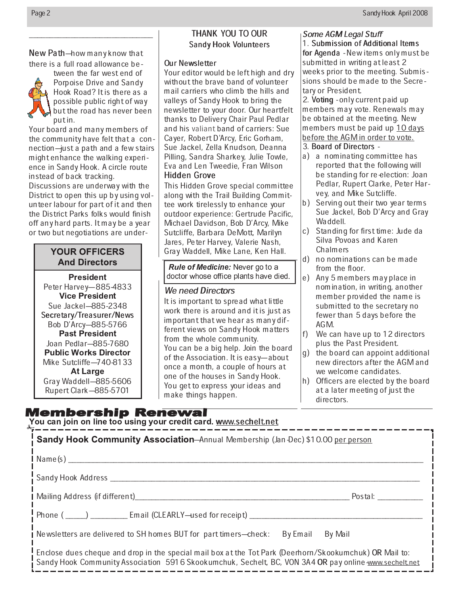New Path-how many know that there is a full road allowance be-

 $\overline{\phantom{a}}$  , and the contract of the contract of  $\overline{\phantom{a}}$ 



tween the far west end of Porpoise Drive and Sandy Hook Road? It is there as a possible public right of way but the road has never been put in.

Your board and many members of the community have felt that a connection-just a path and a few stairs might enhance the walking experience in Sandy Hook. A circle route instead of back tracking.

Discussions are underway with the District to open this up by using volunteer labour for part of it and then the District Parks folks would finish off any hard parts. It may be a year or two but negotiations are under-

# **YOUR OFFICERS And Directors**

\_\_\_\_\_\_ Peter Harvey-885-4833 Sue Jackel-885-2348 Secretary/Treasurer/News Bob D'Arcy-885-5766 Joan Pedlar-885-7680  - Mike Sutcliffe-740-8133 **At Large** Gray Waddell-885-5606 Rupert Clark-885-5701

# THANK YOU TO OUR Sandy Hook Volunteers

### Our Newsletter

Your editor would be left high and dry without the brave band of volunteer mail carriers who climb the hills and valleys of Sandy Hook to bring the newsletter to your door. Our heartfelt thanks to Delivery Chair Paul Pedlar and his valiant band of carriers: Sue Cayer, Robert D'Arcy, Eric Gorham, Sue Jackel, Zella Knudson, Deanna Pilling, Sandra Sharkey, Julie Towle, Eva and Len Tweedie, Fran Wilson Hidden Grove

This Hidden Grove special committee along with the Trail Building Committee work tirelessly to enhance your outdoor experience: Gertrude Pacific, Michael Davidson, Bob D'Arcy, Mike Sutcliffe, Barbara DeMott, Marilyn Jares, Peter Harvey, Valerie Nash, Gray Waddell, Mike Lane, Ken Hall.

*Rule of Medicine:* Never go to . doctor whose office plants have died

## We need Directors

It is important to spread what little work there is around and it is just as important that we hear as many different views on Sandy Hook matters from the whole community. You can be a big help. Join the board of the Association. It is easy-about once a month, a couple of hours at one of the houses in Sandy Hook. You get to express your ideas and make things happen.

### Some AGM Legal Stuff

1. Submission of Additional Items for Agenda - New items only must be submitted in writing at least 2 weeks prior to the meeting. Submissions should be made to the Secretary or President.

2. Voting - only current paid up members may vote. Renewals may be obtained at the meeting. New members must be paid up 10 days before the AGM in order to vote.

### 3. Board of Directors -

- a) a nominating committee has reported that the following will be standing for re-election: Joan Pedlar, Rupert Clarke, Peter Harvey, and Mike Sutcliffe.
- b) Serving out their two year terms Sue Jackel, Bob D'Arcy and Gray Waddell.
- c) Standing for first time: Jude da Silva Povoas and Karen **Chalmers**
- d) no nominations can be made from the floor.
- e) Any 5 members may place in nomination, in writing, another member provided the name is submitted to the secretary no fewer than 5 days before the AGM.
- f) We can have up to 12 directors plus the Past President.
- g) the board can appoint additional new directors after the AGM and we welcome candidates.
- h) Officers are elected by the board at a later meeting of just the directors.

 $\sum\limits_{i=1}^N\sigma_i$  ou line too using your credit card.  $\frac{www.\text{secheltnet}}{}$ 

| Sandy Hook Community Association-Annual Membership (Jan Dec) \$10.00 per person                                                                                                                                    |  |  |  |  |  |  |
|--------------------------------------------------------------------------------------------------------------------------------------------------------------------------------------------------------------------|--|--|--|--|--|--|
|                                                                                                                                                                                                                    |  |  |  |  |  |  |
|                                                                                                                                                                                                                    |  |  |  |  |  |  |
| Mailing Address (if different)<br>Postal: Postalism and the control of the control of the control of the control of the control of the control o                                                                   |  |  |  |  |  |  |
| Phone (_____) ___________ Email (CLEARLY-used for receipt) ______________                                                                                                                                          |  |  |  |  |  |  |
| Newsletters are delivered to SH homes BUT for part timers—check:<br>By Email By Mail                                                                                                                               |  |  |  |  |  |  |
| . Enclose dues cheque and drop in the special mail box at the Tot Park (Deerhorn/Skookumchuk) OR Mail to:<br>Sandy Hook Community Association 5916 Skookumchuk, Sechelt, BC, VON 3A4 OR pay online www.sechelt.net |  |  |  |  |  |  |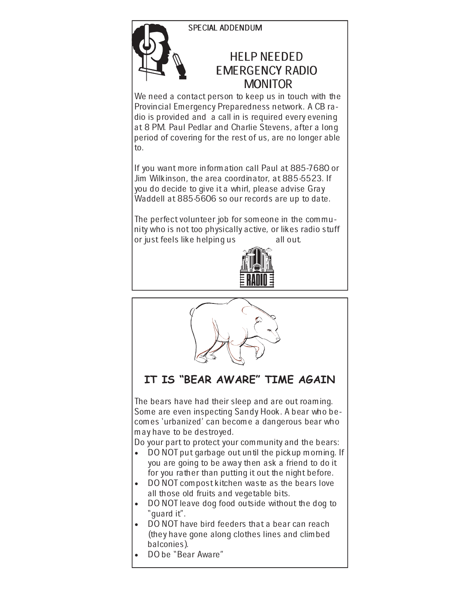# SPECIAL ADDENDUM



We need a contact person to keep us in touch with the Provincial Emergency Preparedness network. A CB radio is provided and a call in is required every evening at 8 PM. Paul Pedlar and Charlie Stevens, after a long period of covering for the rest of us, are no longer able to.

If you want more information call Paul at 885-7680 or Jim Wilkinson, the area coordinator, at 885-5523. If you do decide to give it a whirl, please advise Gray Waddell at 885-5606 so our records are up to date.

The perfect volunteer job for someone in the community who is not too physically active, or likes radio stuff<br>or just feels like helping us all out. or just feels like helping us



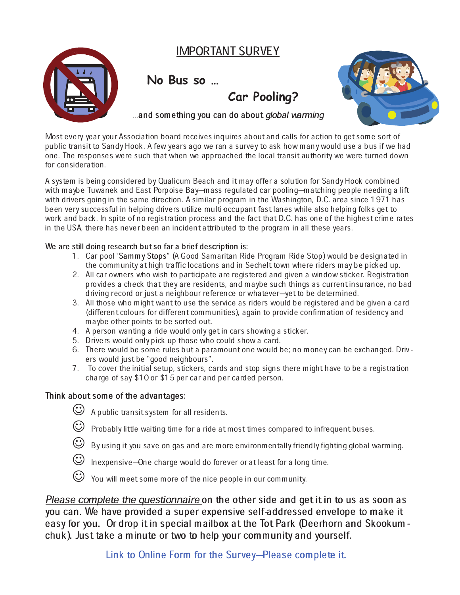# IMPORTANT SURVEY



**No Bus so …**



...and something you can do about global warming

**Car Pooling?**

Most every year your Association board receives inquires about and calls for action to get some sort of public transit to Sandy Hook. A few years ago we ran a survey to ask how many would use a bus if we had one. The responses were such that when we approached the local transit authority we were turned down for consideration.

A system is being considered by Qualicum Beach and it may offer a solution for Sandy Hook combined with maybe Tuwanek and East Porpoise Bay—mass regulated car pooling—matching people needing a lift with drivers going in the same direction. A similar program in the Washington, D.C. area since 1971 has been very successful in helping drivers utilize multi-occupant fast lanes while also helping folks get to work and back. In spite of no registration process and the fact that D.C. has one of the highest crime rates in the USA, there has never been an incident attributed to the program in all these years.

### We are still doing research but so far a brief description is:

- 1. Car pool 'Sammy Stops" (A Good Samaritan Ride Program Ride Stop) would be designated in the community at high traffic locations and in Sechelt town where riders may be picked up.
- 2. All car owners who wish to participate are registered and given a window sticker. Registration provides a check that they are residents, and maybe such things as current insurance, no bad driving record or just a neighbour reference or whatever-yet to be determined.
- 3. All those who might want to use the service as riders would be registered and be given a card (different colours for different communities), again to provide confirmation of residency and maybe other points to be sorted out.
- 4. A person wanting a ride would only get in cars showing a sticker.
- 5. Drivers would only pick up those who could show a card.
- 6. There would be some rules but a paramount one would be; no money can be exchanged. Drivers would just be "good neighbours".
- 7. To cover the initial setup, stickers, cards and stop signs there might have to be a registration charge of say \$10 or \$15 per car and per carded person.

### Think about some of the advantages:

- $\bigcirc$  A public transit system for all residents.
- $\bigodot$  Probably little waiting time for a ride at most times compared to infrequent buses.
- $\bigodot$  By using it you save on gas and are more environmentally friendly fighting global warming.
- $\bigodot$  Inexpensive–One charge would do forever or at least for a long time.
- You will meet some more of the nice people in our community.

Please complete the questionnaire on the other side and get it in to us as soon as you can. We have provided a super expensive self-addressed envelope to make it easy for you. Or drop it in special mailbox at the Tot Park (Deerhorn and Skookumchuk). Just take a minute or two to help your community and yourself.

Link to Online Form for the Survey-Please complete it.